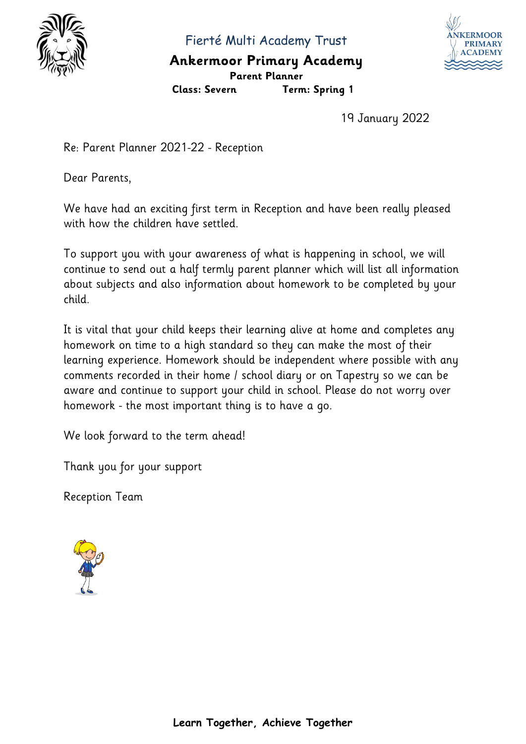

Fierté Multi Academy Trust

## **Ankermoor Primary Academy Parent Planner**



**Class: Severn Term: Spring 1**

19 January 2022

Re: Parent Planner 2021-22 - Reception

Dear Parents,

We have had an exciting first term in Reception and have been really pleased with how the children have settled.

To support you with your awareness of what is happening in school, we will continue to send out a half termly parent planner which will list all information about subjects and also information about homework to be completed by your child.

It is vital that your child keeps their learning alive at home and completes any homework on time to a high standard so they can make the most of their learning experience. Homework should be independent where possible with any comments recorded in their home / school diary or on Tapestry so we can be aware and continue to support your child in school. Please do not worry over homework - the most important thing is to have a go.

We look forward to the term ahead!

Thank you for your support

Reception Team

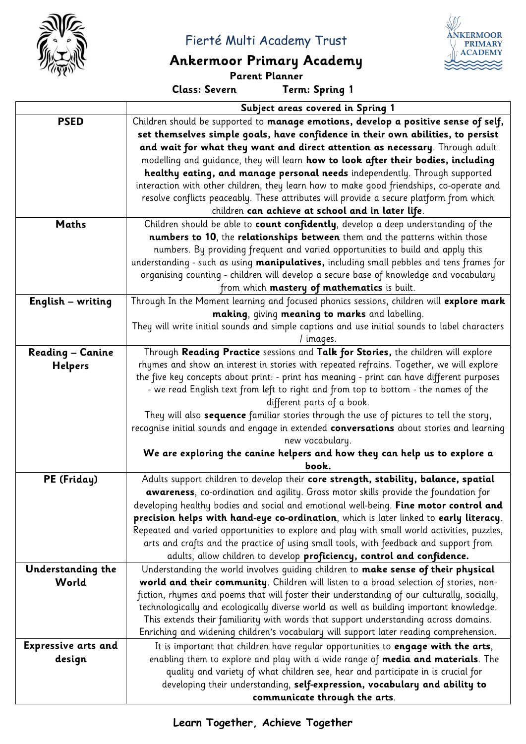

Fierté Multi Academy Trust

## **Ankermoor Primary Academy**

**Parent Planner**

**Class: Severn Term: Spring 1**

**NKERMOOF PRIMARY**